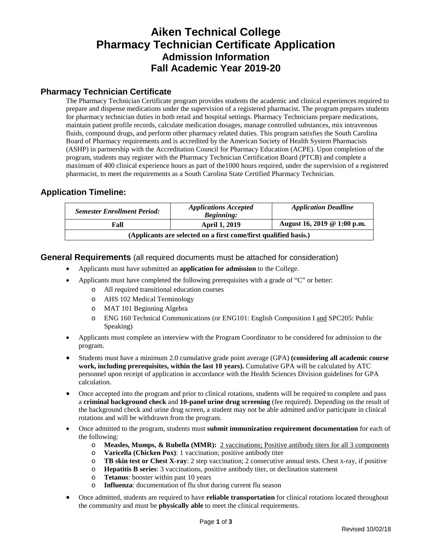## **Aiken Technical College Pharmacy Technician Certificate Application Admission Information Fall Academic Year 2019-20**

### **Pharmacy Technician Certificate**

The Pharmacy Technician Certificate program provides students the academic and clinical experiences required to prepare and dispense medications under the supervision of a registered pharmacist. The program prepares students for pharmacy technician duties in both retail and hospital settings. Pharmacy Technicians prepare medications, maintain patient profile records, calculate medication dosages, manage controlled substances, mix intravenous fluids, compound drugs, and perform other pharmacy related duties. This program satisfies the South Carolina Board of Pharmacy requirements and is accredited by the American Society of Health System Pharmacists (ASHP) in partnership with the Accreditation Council for Pharmacy Education (ACPE). Upon completion of the program, students may register with the Pharmacy Technician Certification Board (PTCB) and complete a maximum of 400 clinical experience hours as part of the1000 hours required, under the supervision of a registered pharmacist, to meet the requirements as a South Carolina State Certified Pharmacy Technician.

### **Application Timeline:**

| <b>Semester Enrollment Period:</b> | <b>Applications Accepted</b><br><b>Beginning:</b>                | <b>Application Deadline</b> |
|------------------------------------|------------------------------------------------------------------|-----------------------------|
| Fall                               | <b>April 1, 2019</b>                                             | August 16, 2019 @ 1:00 p.m. |
|                                    | (Applicants are selected on a first come/first qualified basis.) |                             |

#### **General Requirements** (all required documents must be attached for consideration)

- Applicants must have submitted an **application for admission** to the College.
- Applicants must have completed the following prerequisites with a grade of "C" or better:
	- o All required transitional education courses
	- o AHS 102 Medical Terminology
	- o MAT 101 Beginning Algebra
	- o ENG 160 Technical Communications (or ENG101: English Composition I and SPC205: Public Speaking)
- Applicants must complete an interview with the Program Coordinator to be considered for admission to the program.
- Students must have a minimum 2.0 cumulative grade point average (GPA) **(considering all academic course work, including prerequisites, within the last 10 years).** Cumulative GPA will be calculated by ATC personnel upon receipt of application in accordance with the Health Sciences Division guidelines for GPA calculation.
- Once accepted into the program and prior to clinical rotations, students will be required to complete and pass a **criminal background check** and **10-panel urine drug screening** (fee required). Depending on the result of the background check and urine drug screen, a student may not be able admitted and/or participate in clinical rotations and will be withdrawn from the program.
- Once admitted to the program, students must **submit immunization requirement documentation** for each of the following:
	- o **Measles, Mumps, & Rubella (MMR):** 2 vaccinations; Positive antibody titers for all 3 components
	- o **Varicella (Chicken Pox)**: 1 vaccination; positive antibody titer
	- **TB skin test or Chest X-ray**: 2 step vaccination; 2 consecutive annual tests. Chest x-ray, if positive <br> **Henatitis B series:** 3 vaccinations, positive antibody titer, or declination statement
	- Hepatitis B series: 3 vaccinations, positive antibody titer, or declination statement
	- o **Tetanus**: booster within past 10 years
	- o **Influenza**: documentation of flu shot during current flu season
- Once admitted, students are required to have **reliable transportation** for clinical rotations located throughout the community and must be **physically able** to meet the clinical requirements.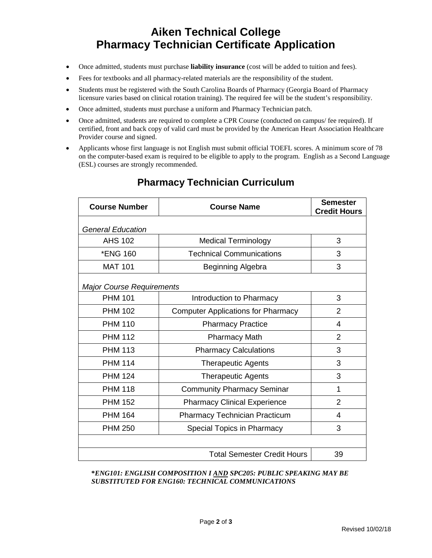# **Aiken Technical College Pharmacy Technician Certificate Application**

- Once admitted, students must purchase **liability insurance** (cost will be added to tuition and fees).
- Fees for textbooks and all pharmacy-related materials are the responsibility of the student.
- Students must be registered with the South Carolina Boards of Pharmacy (Georgia Board of Pharmacy licensure varies based on clinical rotation training). The required fee will be the student's responsibility.
- Once admitted, students must purchase a uniform and Pharmacy Technician patch.
- Once admitted, students are required to complete a CPR Course (conducted on campus/ fee required). If certified, front and back copy of valid card must be provided by the American Heart Association Healthcare Provider course and signed.
- Applicants whose first language is not English must submit official TOEFL scores. A minimum score of 78 on the computer-based exam is required to be eligible to apply to the program. English as a Second Language (ESL) courses are strongly recommended.

| <b>Course Number</b>             | <b>Course Name</b>                        | <b>Semester</b><br><b>Credit Hours</b> |  |
|----------------------------------|-------------------------------------------|----------------------------------------|--|
| <b>General Education</b>         |                                           |                                        |  |
| <b>AHS 102</b>                   | <b>Medical Terminology</b>                | 3                                      |  |
| *ENG 160                         | <b>Technical Communications</b>           | 3                                      |  |
| <b>MAT 101</b>                   | Beginning Algebra                         | 3                                      |  |
| <b>Major Course Requirements</b> |                                           |                                        |  |
| <b>PHM 101</b>                   | Introduction to Pharmacy                  | 3                                      |  |
| <b>PHM 102</b>                   | <b>Computer Applications for Pharmacy</b> | $\overline{2}$                         |  |
| <b>PHM 110</b>                   | <b>Pharmacy Practice</b>                  | 4                                      |  |
| <b>PHM 112</b>                   | <b>Pharmacy Math</b>                      | 2                                      |  |
| <b>PHM 113</b>                   | <b>Pharmacy Calculations</b>              | 3                                      |  |
| <b>PHM 114</b>                   | <b>Therapeutic Agents</b>                 | 3                                      |  |
| <b>PHM 124</b>                   | <b>Therapeutic Agents</b>                 | 3                                      |  |
| <b>PHM 118</b>                   | <b>Community Pharmacy Seminar</b>         | 1                                      |  |
| <b>PHM 152</b>                   | <b>Pharmacy Clinical Experience</b>       | $\overline{2}$                         |  |
| <b>PHM 164</b>                   | <b>Pharmacy Technician Practicum</b>      | 4                                      |  |
| <b>PHM 250</b>                   | Special Topics in Pharmacy                | 3                                      |  |
|                                  |                                           |                                        |  |
|                                  | <b>Total Semester Credit Hours</b>        | 39                                     |  |

## **Pharmacy Technician Curriculum**

**\****ENG101: ENGLISH COMPOSITION I AND SPC205: PUBLIC SPEAKING MAY BE SUBSTITUTED FOR ENG160: TECHNICAL COMMUNICATIONS*